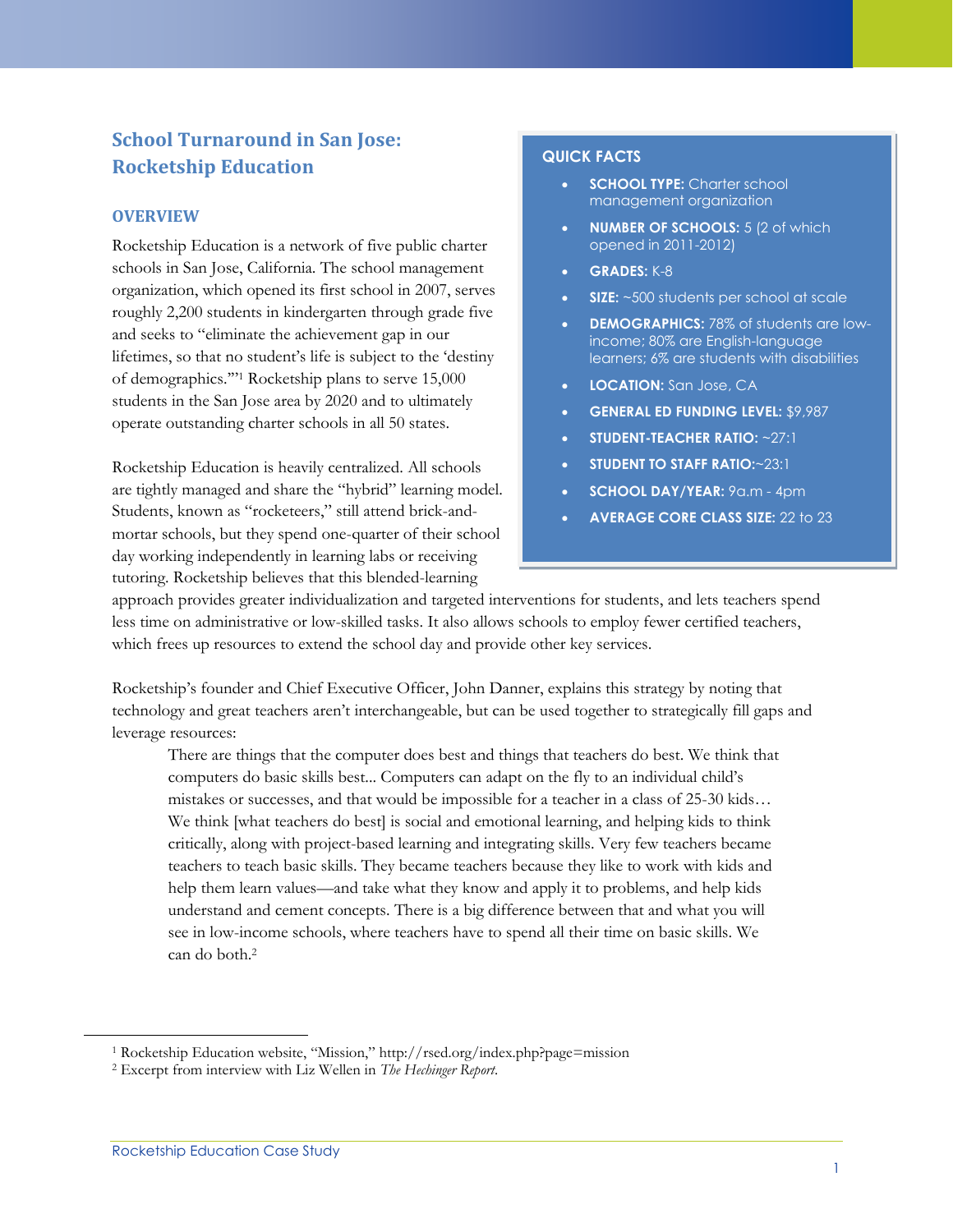# **School Turnaround in San Jose: Rocketship Education**

## **OVERVIEW**

Rocketship Education is a network of five public charter schools in San Jose, California. The school management organization, which opened its first school in 2007, serves roughly 2,200 students in kindergarten through grade five and seeks to "eliminate the achievement gap in our lifetimes, so that no student's life is subject to the 'destiny of demographics.'" <sup>1</sup> Rocketship plans to serve 15,000 students in the San Jose area by 2020 and to ultimately operate outstanding charter schools in all 50 states.

Rocketship Education is heavily centralized. All schools are tightly managed and share the "hybrid" learning model. Students, known as "rocketeers," still attend brick-andmortar schools, but they spend one-quarter of their school day working independently in learning labs or receiving tutoring. Rocketship believes that this blended-learning

### **QUICK FACTS**

- **SCHOOL TYPE:** Charter school management organization
- **NUMBER OF SCHOOLS:** 5 (2 of which opened in 2011-2012)
- **GRADES:** K-8
- **SIZE:** ~500 students per school at scale
- **DEMOGRAPHICS:** 78% of students are lowincome; 80% are English-language learners; 6% are students with disabilities
- **LOCATION:** San Jose, CA
- **GENERAL ED FUNDING LEVEL:** \$9,987
- **STUDENT-TEACHER RATIO:** ~27:1
- **STUDENT TO STAFF RATIO:**~23:1
- **SCHOOL DAY/YEAR:** 9a.m 4pm
- **AVERAGE CORE CLASS SIZE:** 22 to 23

approach provides greater individualization and targeted interventions for students, and lets teachers spend less time on administrative or low-skilled tasks. It also allows schools to employ fewer certified teachers, which frees up resources to extend the school day and provide other key services.

Rocketship's founder and Chief Executive Officer, John Danner, explains this strategy by noting that technology and great teachers aren't interchangeable, but can be used together to strategically fill gaps and leverage resources:

There are things that the computer does best and things that teachers do best. We think that computers do basic skills best... Computers can adapt on the fly to an individual child's mistakes or successes, and that would be impossible for a teacher in a class of 25-30 kids… We think [what teachers do best] is social and emotional learning, and helping kids to think critically, along with project-based learning and integrating skills. Very few teachers became teachers to teach basic skills. They became teachers because they like to work with kids and help them learn values—and take what they know and apply it to problems, and help kids understand and cement concepts. There is a big difference between that and what you will see in low-income schools, where teachers have to spend all their time on basic skills. We can do both<sup>2</sup>

<sup>1</sup> Rocketship Education website, "Mission," http://rsed.org/index.php?page=mission

<sup>2</sup> Excerpt from interview with Liz Wellen in *The Hechinger Report*.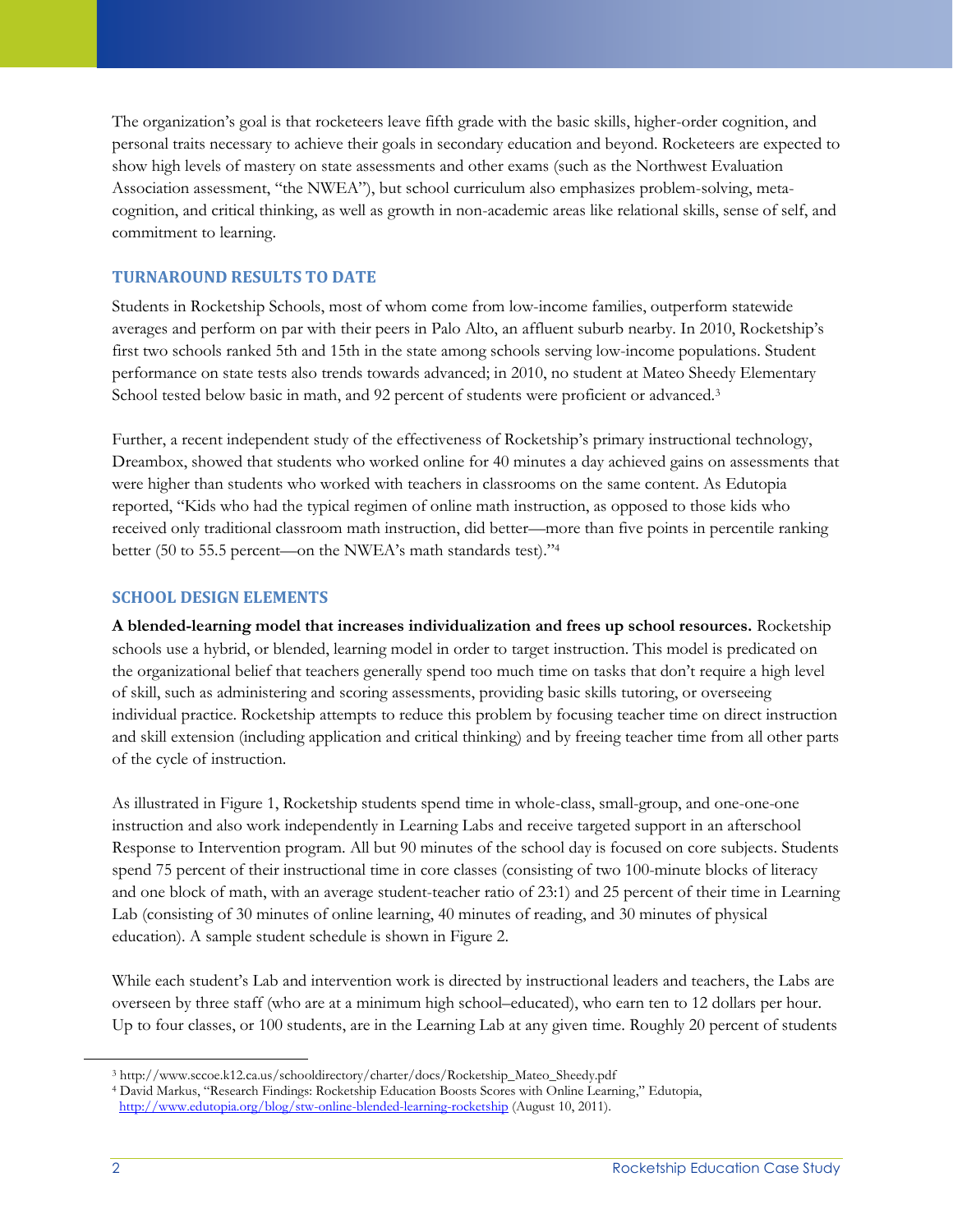The organization's goal is that rocketeers leave fifth grade with the basic skills, higher-order cognition, and personal traits necessary to achieve their goals in secondary education and beyond. Rocketeers are expected to show high levels of mastery on state assessments and other exams (such as the Northwest Evaluation Association assessment, "the NWEA"), but school curriculum also emphasizes problem-solving, metacognition, and critical thinking, as well as growth in non-academic areas like relational skills, sense of self, and commitment to learning.

## **TURNAROUND RESULTS TO DATE**

Students in Rocketship Schools, most of whom come from low-income families, outperform statewide averages and perform on par with their peers in Palo Alto, an affluent suburb nearby. In 2010, Rocketship's first two schools ranked 5th and 15th in the state among schools serving low-income populations. Student performance on state tests also trends towards advanced; in 2010, no student at Mateo Sheedy Elementary School tested below basic in math, and 92 percent of students were proficient or advanced.<sup>3</sup>

Further, a recent independent study of the effectiveness of Rocketship's primary instructional technology, Dreambox, showed that students who worked online for 40 minutes a day achieved gains on assessments that were higher than students who worked with teachers in classrooms on the same content. As Edutopia reported, "Kids who had the typical regimen of online math instruction, as opposed to those kids who received only traditional classroom math instruction, did better—more than five points in percentile ranking better (50 to 55.5 percent—on the NWEA's math standards test)."<sup>4</sup>

## **SCHOOL DESIGN ELEMENTS**

**A blended-learning model that increases individualization and frees up school resources.** Rocketship schools use a hybrid, or blended, learning model in order to target instruction. This model is predicated on the organizational belief that teachers generally spend too much time on tasks that don't require a high level of skill, such as administering and scoring assessments, providing basic skills tutoring, or overseeing individual practice. Rocketship attempts to reduce this problem by focusing teacher time on direct instruction and skill extension (including application and critical thinking) and by freeing teacher time from all other parts of the cycle of instruction.

As illustrated in Figure 1, Rocketship students spend time in whole-class, small-group, and one-one-one instruction and also work independently in Learning Labs and receive targeted support in an afterschool Response to Intervention program. All but 90 minutes of the school day is focused on core subjects. Students spend 75 percent of their instructional time in core classes (consisting of two 100-minute blocks of literacy and one block of math, with an average student-teacher ratio of 23:1) and 25 percent of their time in Learning Lab (consisting of 30 minutes of online learning, 40 minutes of reading, and 30 minutes of physical education). A sample student schedule is shown in Figure 2.

While each student's Lab and intervention work is directed by instructional leaders and teachers, the Labs are overseen by three staff (who are at a minimum high school–educated), who earn ten to 12 dollars per hour. Up to four classes, or 100 students, are in the Learning Lab at any given time. Roughly 20 percent of students

<sup>3</sup> http://www.sccoe.k12.ca.us/schooldirectory/charter/docs/Rocketship\_Mateo\_Sheedy.pdf

<sup>4</sup> David Markus, "Research Findings: Rocketship Education Boosts Scores with Online Learning," Edutopia, <http://www.edutopia.org/blog/stw-online-blended-learning-rocketship> (August 10, 2011).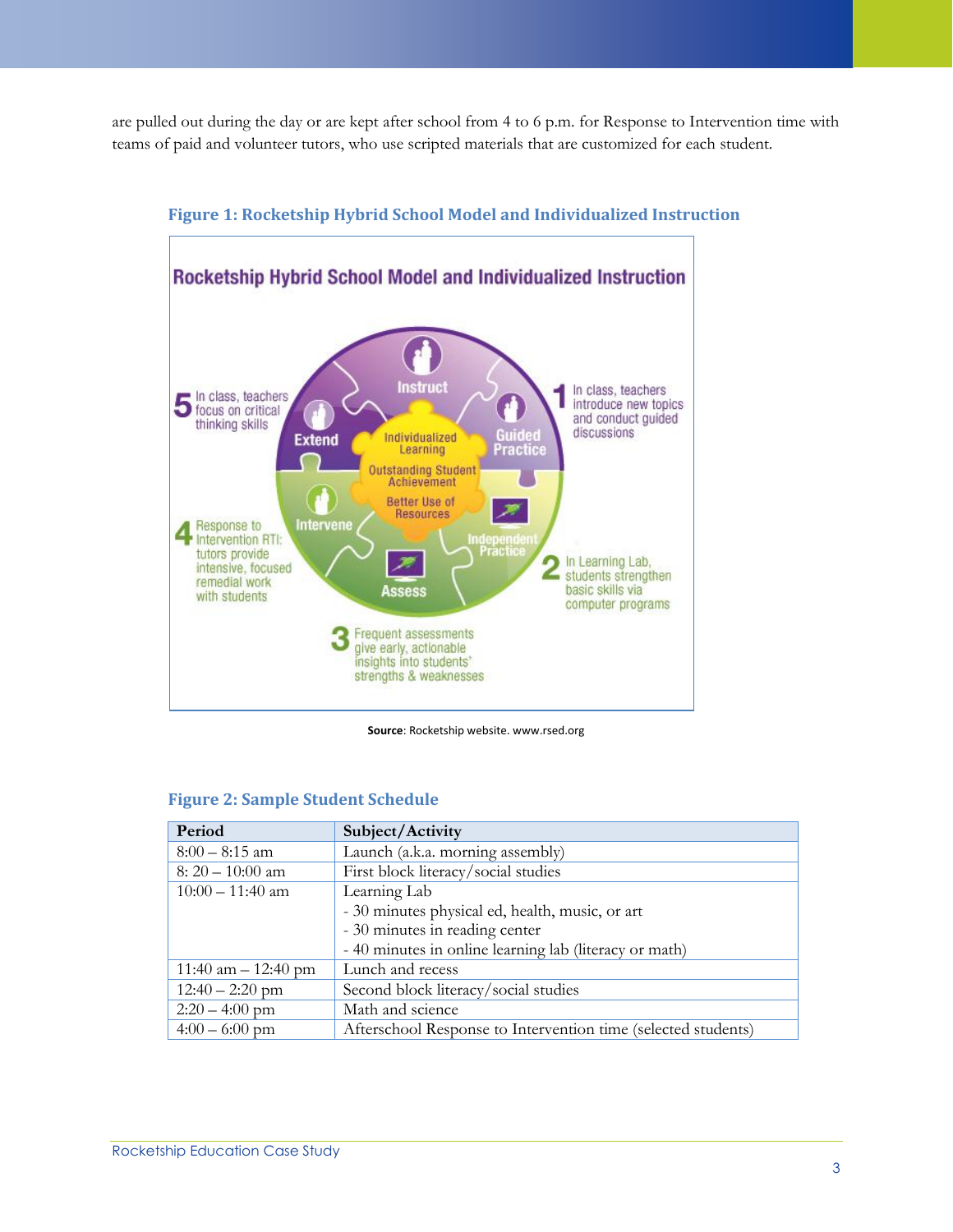are pulled out during the day or are kept after school from 4 to 6 p.m. for Response to Intervention time with teams of paid and volunteer tutors, who use scripted materials that are customized for each student.



## **Figure 1: Rocketship Hybrid School Model and Individualized Instruction**

**Source**: Rocketship website. www.rsed.org

|  |  | <b>Figure 2: Sample Student Schedule</b> |
|--|--|------------------------------------------|
|  |  |                                          |

| Period                                                                            | Subject/Activity                                       |  |
|-----------------------------------------------------------------------------------|--------------------------------------------------------|--|
| $8:00 - 8:15$ am                                                                  | Launch (a.k.a. morning assembly)                       |  |
| $8:20-10:00$ am                                                                   | First block literacy/social studies                    |  |
| $10:00 - 11:40$ am                                                                | Learning Lab                                           |  |
|                                                                                   | - 30 minutes physical ed, health, music, or art        |  |
|                                                                                   | - 30 minutes in reading center                         |  |
|                                                                                   | - 40 minutes in online learning lab (literacy or math) |  |
| 11:40 am $- 12:40$ pm                                                             | Lunch and recess                                       |  |
| $12:40 - 2:20$ pm                                                                 | Second block literacy/social studies                   |  |
| $2:20 - 4:00$ pm                                                                  | Math and science                                       |  |
| Afterschool Response to Intervention time (selected students)<br>$4:00 - 6:00$ pm |                                                        |  |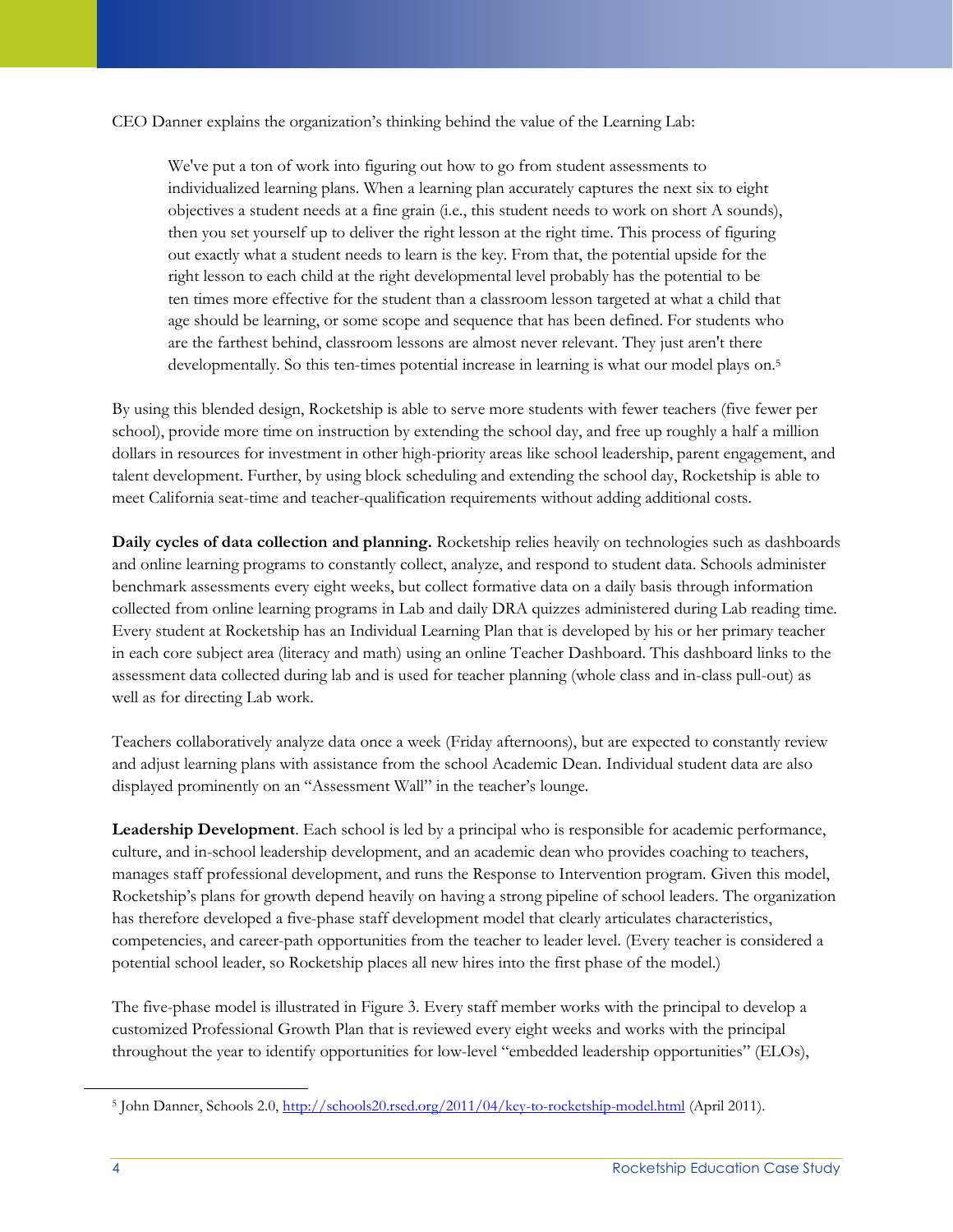CEO Danner explains the organization's thinking behind the value of the Learning Lab:

We've put a ton of work into figuring out how to go from student assessments to individualized learning plans. When a learning plan accurately captures the next six to eight objectives a student needs at a fine grain (i.e., this student needs to work on short A sounds), then you set yourself up to deliver the right lesson at the right time. This process of figuring out exactly what a student needs to learn is the key. From that, the potential upside for the right lesson to each child at the right developmental level probably has the potential to be ten times more effective for the student than a classroom lesson targeted at what a child that age should be learning, or some scope and sequence that has been defined. For students who are the farthest behind, classroom lessons are almost never relevant. They just aren't there developmentally. So this ten-times potential increase in learning is what our model plays on.<sup>5</sup>

By using this blended design, Rocketship is able to serve more students with fewer teachers (five fewer per school), provide more time on instruction by extending the school day, and free up roughly a half a million dollars in resources for investment in other high-priority areas like school leadership, parent engagement, and talent development. Further, by using block scheduling and extending the school day, Rocketship is able to meet California seat-time and teacher-qualification requirements without adding additional costs.

**Daily cycles of data collection and planning.** Rocketship relies heavily on technologies such as dashboards and online learning programs to constantly collect, analyze, and respond to student data. Schools administer benchmark assessments every eight weeks, but collect formative data on a daily basis through information collected from online learning programs in Lab and daily DRA quizzes administered during Lab reading time. Every student at Rocketship has an Individual Learning Plan that is developed by his or her primary teacher in each core subject area (literacy and math) using an online Teacher Dashboard. This dashboard links to the assessment data collected during lab and is used for teacher planning (whole class and in-class pull-out) as well as for directing Lab work.

Teachers collaboratively analyze data once a week (Friday afternoons), but are expected to constantly review and adjust learning plans with assistance from the school Academic Dean. Individual student data are also displayed prominently on an "Assessment Wall" in the teacher's lounge.

**Leadership Development**. Each school is led by a principal who is responsible for academic performance, culture, and in-school leadership development, and an academic dean who provides coaching to teachers, manages staff professional development, and runs the Response to Intervention program. Given this model, Rocketship's plans for growth depend heavily on having a strong pipeline of school leaders. The organization has therefore developed a five-phase staff development model that clearly articulates characteristics, competencies, and career-path opportunities from the teacher to leader level. (Every teacher is considered a potential school leader, so Rocketship places all new hires into the first phase of the model.)

The five-phase model is illustrated in Figure 3. Every staff member works with the principal to develop a customized Professional Growth Plan that is reviewed every eight weeks and works with the principal throughout the year to identify opportunities for low-level "embedded leadership opportunities" (ELOs),

 $\overline{a}$ 

<sup>&</sup>lt;sup>5</sup> John Danner, Schools 2.0,<http://schools20.rsed.org/2011/04/key-to-rocketship-model.html> (April 2011).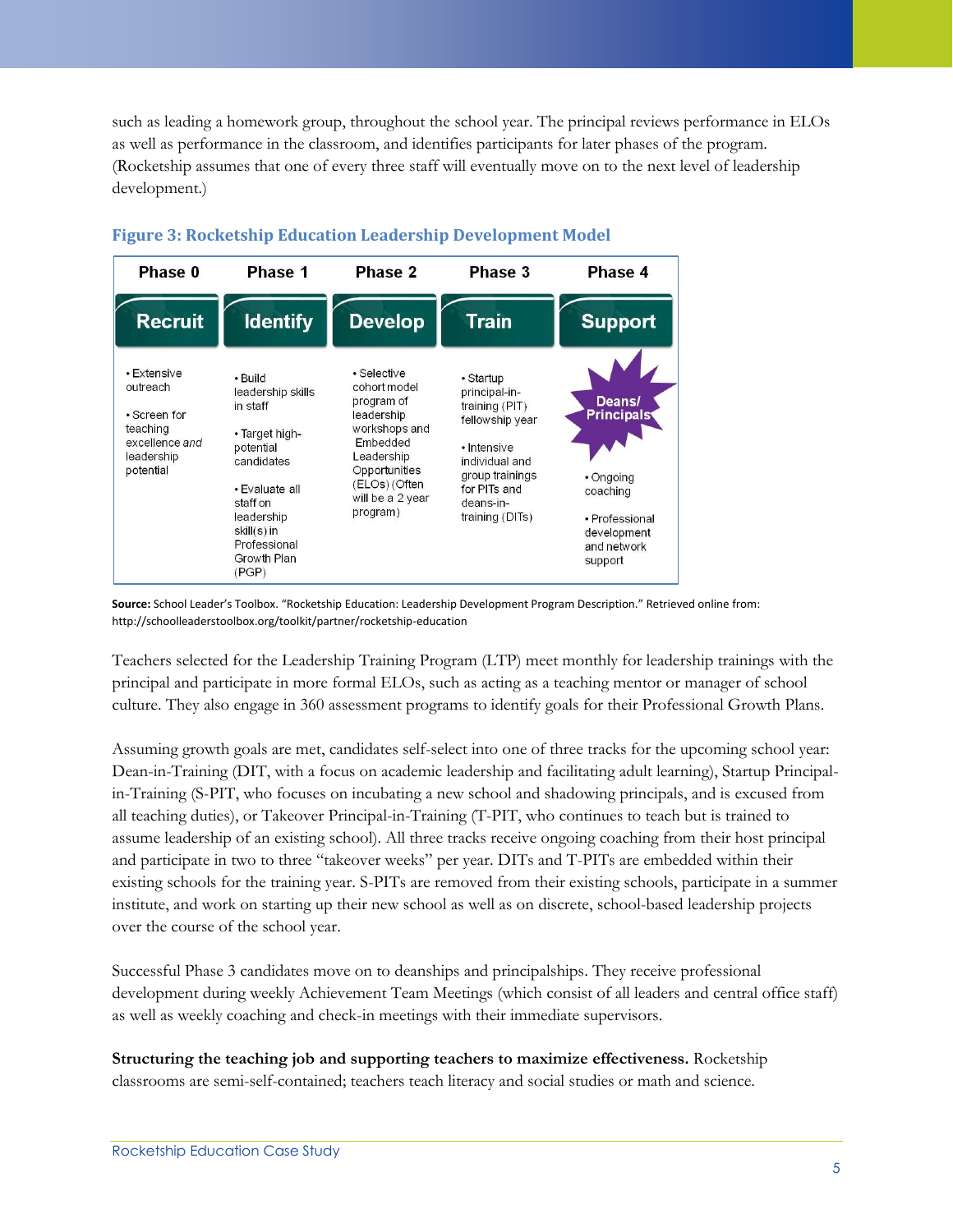such as leading a homework group, throughout the school year. The principal reviews performance in ELOs as well as performance in the classroom, and identifies participants for later phases of the program. (Rocketship assumes that one of every three staff will eventually move on to the next level of leadership development.)



## **Figure 3: Rocketship Education Leadership Development Model**

**Source:** School Leader's Toolbox. "Rocketship Education: Leadership Development Program Description." Retrieved online from: http://schoolleaderstoolbox.org/toolkit/partner/rocketship-education

Teachers selected for the Leadership Training Program (LTP) meet monthly for leadership trainings with the principal and participate in more formal ELOs, such as acting as a teaching mentor or manager of school culture. They also engage in 360 assessment programs to identify goals for their Professional Growth Plans.

Assuming growth goals are met, candidates self-select into one of three tracks for the upcoming school year: Dean-in-Training (DIT, with a focus on academic leadership and facilitating adult learning), Startup Principalin-Training (S-PIT, who focuses on incubating a new school and shadowing principals, and is excused from all teaching duties), or Takeover Principal-in-Training (T-PIT, who continues to teach but is trained to assume leadership of an existing school). All three tracks receive ongoing coaching from their host principal and participate in two to three "takeover weeks" per year. DITs and T-PITs are embedded within their existing schools for the training year. S-PITs are removed from their existing schools, participate in a summer institute, and work on starting up their new school as well as on discrete, school-based leadership projects over the course of the school year.

Successful Phase 3 candidates move on to deanships and principalships. They receive professional development during weekly Achievement Team Meetings (which consist of all leaders and central office staff) as well as weekly coaching and check-in meetings with their immediate supervisors.

**Structuring the teaching job and supporting teachers to maximize effectiveness.** Rocketship classrooms are semi-self-contained; teachers teach literacy and social studies or math and science.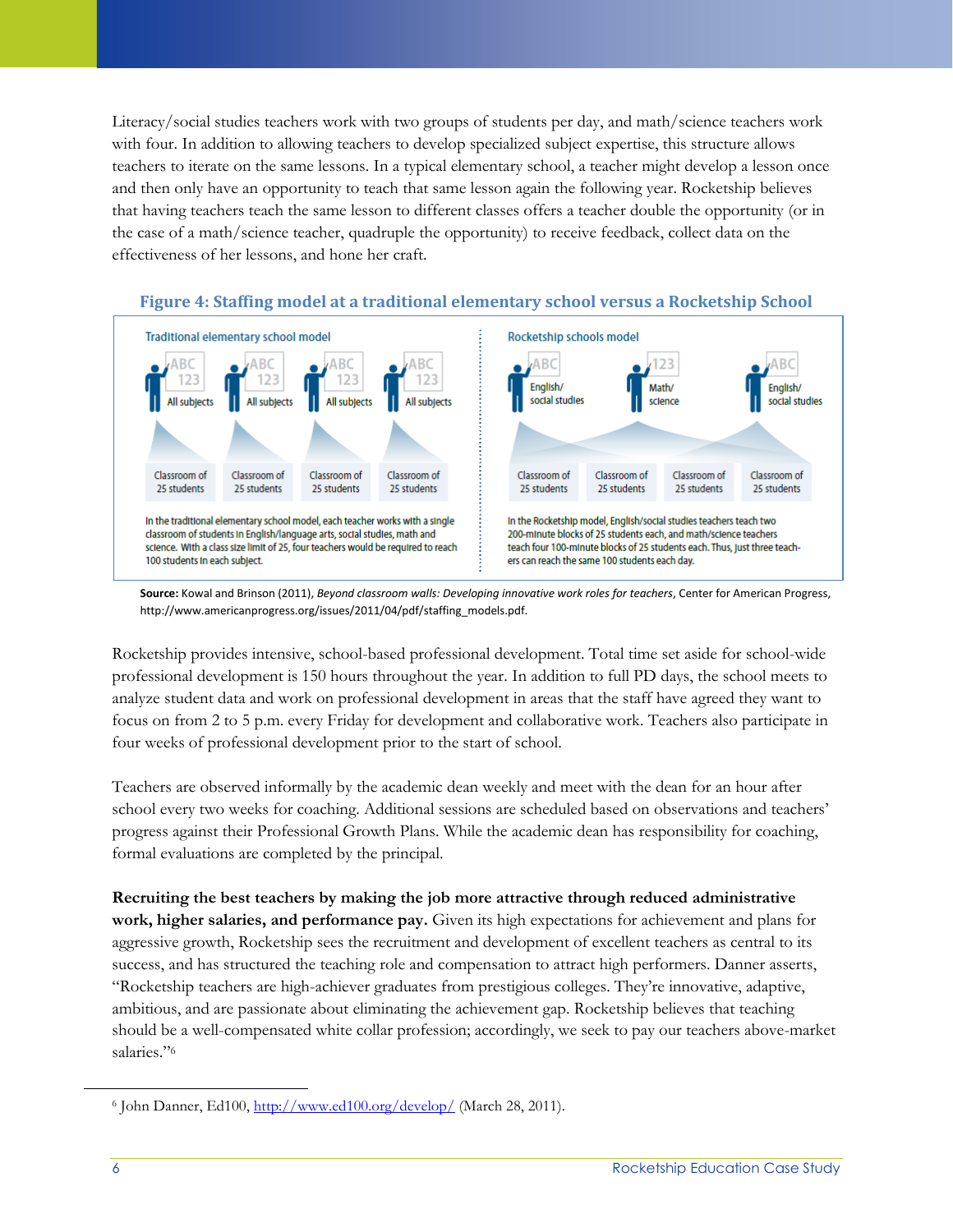Literacy/social studies teachers work with two groups of students per day, and math/science teachers work with four. In addition to allowing teachers to develop specialized subject expertise, this structure allows teachers to iterate on the same lessons. In a typical elementary school, a teacher might develop a lesson once and then only have an opportunity to teach that same lesson again the following year. Rocketship believes that having teachers teach the same lesson to different classes offers a teacher double the opportunity (or in the case of a math/science teacher, quadruple the opportunity) to receive feedback, collect data on the effectiveness of her lessons, and hone her craft.



**Figure 4: Staffing model at a traditional elementary school versus a Rocketship School**

**Source:** Kowal and Brinson (2011), *Beyond classroom walls: Developing innovative work roles for teachers*, Center for American Progress, http://www.americanprogress.org/issues/2011/04/pdf/staffing\_models.pdf.

Rocketship provides intensive, school-based professional development. Total time set aside for school-wide professional development is 150 hours throughout the year. In addition to full PD days, the school meets to analyze student data and work on professional development in areas that the staff have agreed they want to focus on from 2 to 5 p.m. every Friday for development and collaborative work. Teachers also participate in four weeks of professional development prior to the start of school.

Teachers are observed informally by the academic dean weekly and meet with the dean for an hour after school every two weeks for coaching. Additional sessions are scheduled based on observations and teachers' progress against their Professional Growth Plans. While the academic dean has responsibility for coaching, formal evaluations are completed by the principal.

**Recruiting the best teachers by making the job more attractive through reduced administrative work, higher salaries, and performance pay.** Given its high expectations for achievement and plans for aggressive growth, Rocketship sees the recruitment and development of excellent teachers as central to its success, and has structured the teaching role and compensation to attract high performers. Danner asserts, "Rocketship teachers are high-achiever graduates from prestigious colleges. They're innovative, adaptive, ambitious, and are passionate about eliminating the achievement gap. Rocketship believes that teaching should be a well-compensated white collar profession; accordingly, we seek to pay our teachers above-market salaries."<sup>6</sup>

 $\overline{a}$ 

<sup>&</sup>lt;sup>6</sup> John Danner, Ed100,<http://www.ed100.org/develop/> (March 28, 2011).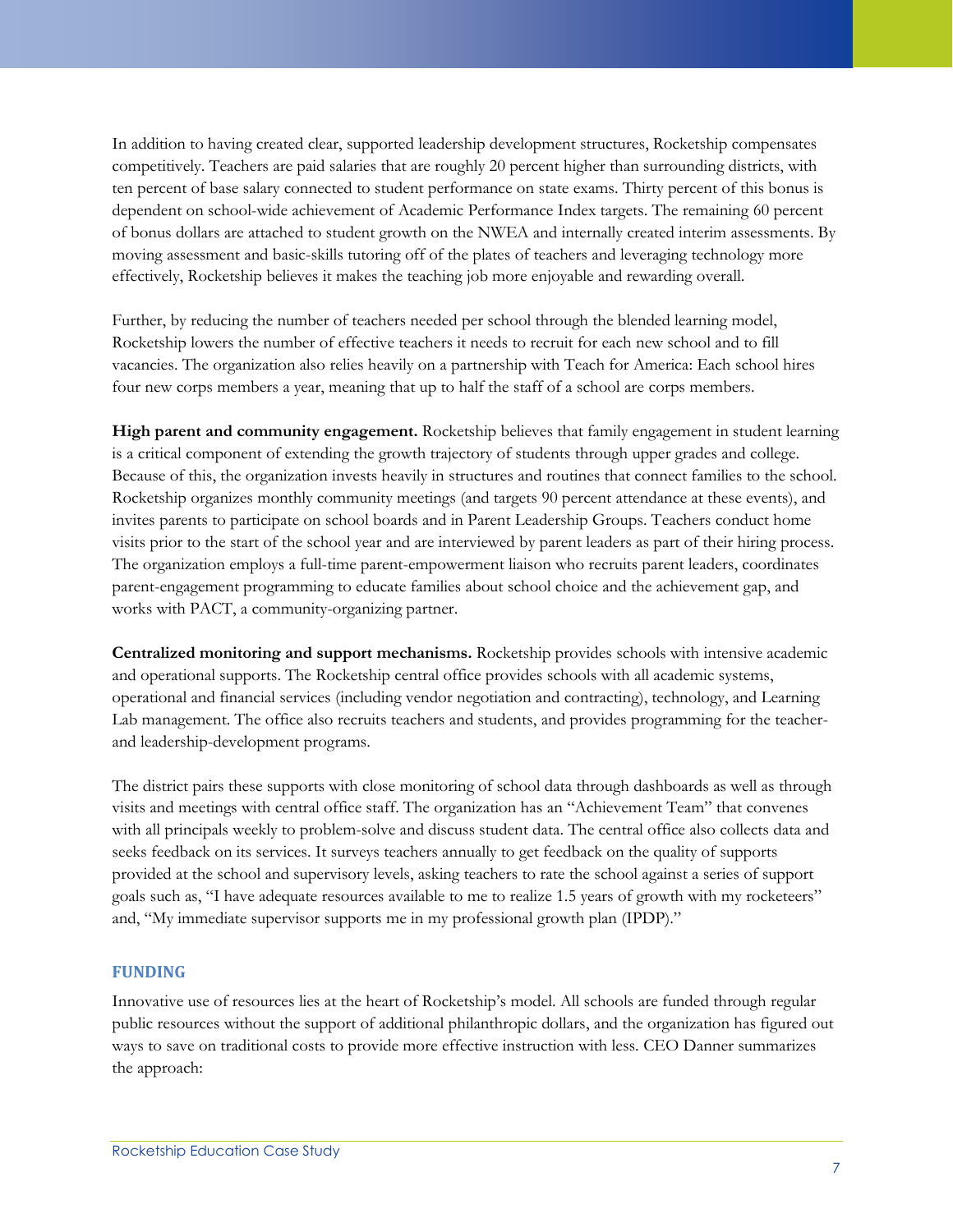In addition to having created clear, supported leadership development structures, Rocketship compensates competitively. Teachers are paid salaries that are roughly 20 percent higher than surrounding districts, with ten percent of base salary connected to student performance on state exams. Thirty percent of this bonus is dependent on school-wide achievement of Academic Performance Index targets. The remaining 60 percent of bonus dollars are attached to student growth on the NWEA and internally created interim assessments. By moving assessment and basic-skills tutoring off of the plates of teachers and leveraging technology more effectively, Rocketship believes it makes the teaching job more enjoyable and rewarding overall.

Further, by reducing the number of teachers needed per school through the blended learning model, Rocketship lowers the number of effective teachers it needs to recruit for each new school and to fill vacancies. The organization also relies heavily on a partnership with Teach for America: Each school hires four new corps members a year, meaning that up to half the staff of a school are corps members.

**High parent and community engagement.** Rocketship believes that family engagement in student learning is a critical component of extending the growth trajectory of students through upper grades and college. Because of this, the organization invests heavily in structures and routines that connect families to the school. Rocketship organizes monthly community meetings (and targets 90 percent attendance at these events), and invites parents to participate on school boards and in Parent Leadership Groups. Teachers conduct home visits prior to the start of the school year and are interviewed by parent leaders as part of their hiring process. The organization employs a full-time parent-empowerment liaison who recruits parent leaders, coordinates parent-engagement programming to educate families about school choice and the achievement gap, and works with PACT, a community-organizing partner.

**Centralized monitoring and support mechanisms.** Rocketship provides schools with intensive academic and operational supports. The Rocketship central office provides schools with all academic systems, operational and financial services (including vendor negotiation and contracting), technology, and Learning Lab management. The office also recruits teachers and students, and provides programming for the teacherand leadership-development programs.

The district pairs these supports with close monitoring of school data through dashboards as well as through visits and meetings with central office staff. The organization has an "Achievement Team" that convenes with all principals weekly to problem-solve and discuss student data. The central office also collects data and seeks feedback on its services. It surveys teachers annually to get feedback on the quality of supports provided at the school and supervisory levels, asking teachers to rate the school against a series of support goals such as, "I have adequate resources available to me to realize 1.5 years of growth with my rocketeers" and, "My immediate supervisor supports me in my professional growth plan (IPDP)."

## **FUNDING**

Innovative use of resources lies at the heart of Rocketship's model. All schools are funded through regular public resources without the support of additional philanthropic dollars, and the organization has figured out ways to save on traditional costs to provide more effective instruction with less. CEO Danner summarizes the approach: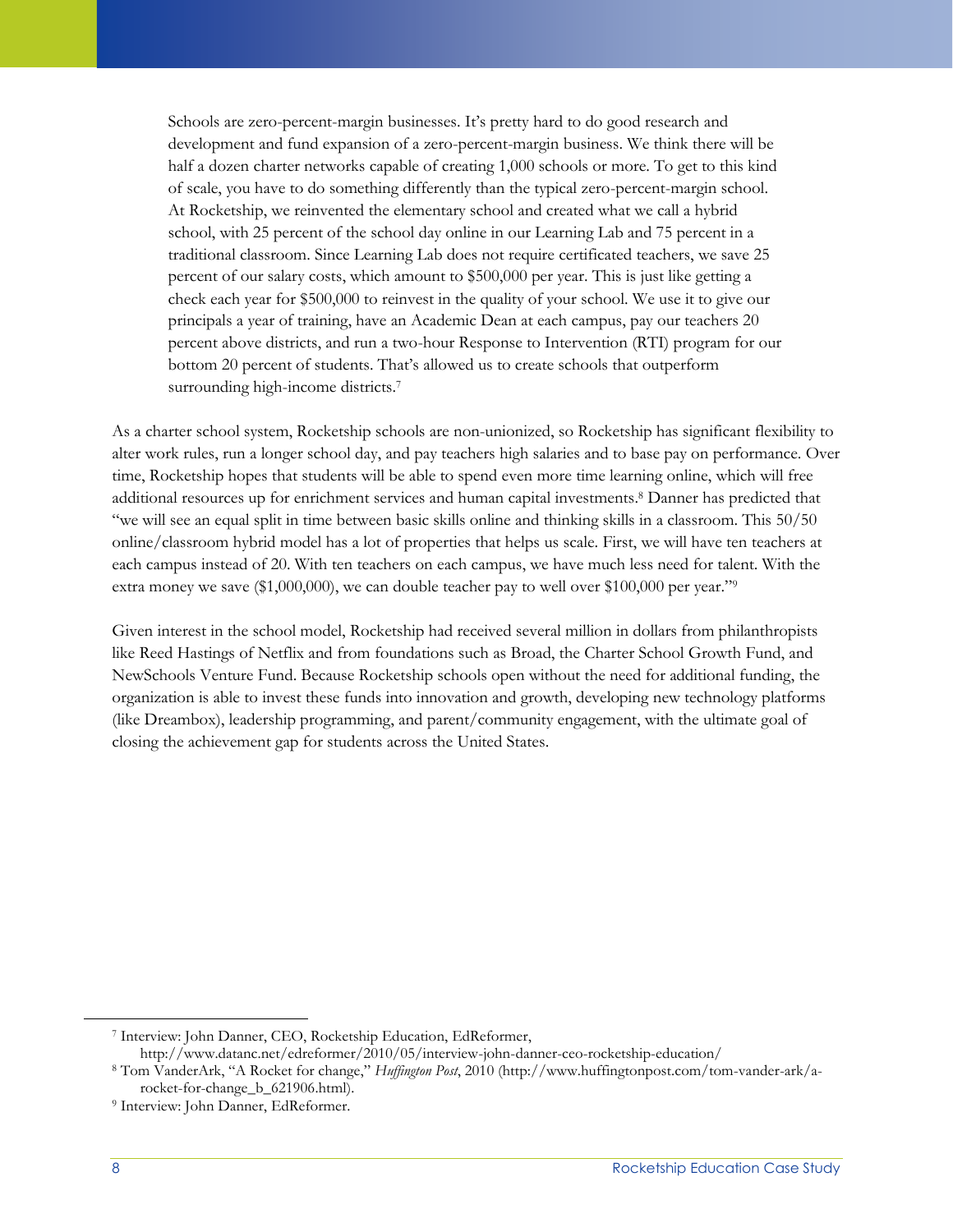Schools are zero-percent-margin businesses. It's pretty hard to do good research and development and fund expansion of a zero-percent-margin business. We think there will be half a dozen charter networks capable of creating 1,000 schools or more. To get to this kind of scale, you have to do something differently than the typical zero-percent-margin school. At Rocketship, we reinvented the elementary school and created what we call a hybrid school, with 25 percent of the school day online in our Learning Lab and 75 percent in a traditional classroom. Since Learning Lab does not require certificated teachers, we save 25 percent of our salary costs, which amount to \$500,000 per year. This is just like getting a check each year for \$500,000 to reinvest in the quality of your school. We use it to give our principals a year of training, have an Academic Dean at each campus, pay our teachers 20 percent above districts, and run a two-hour Response to Intervention (RTI) program for our bottom 20 percent of students. That's allowed us to create schools that outperform surrounding high-income districts.<sup>7</sup>

As a charter school system, Rocketship schools are non-unionized, so Rocketship has significant flexibility to alter work rules, run a longer school day, and pay teachers high salaries and to base pay on performance. Over time, Rocketship hopes that students will be able to spend even more time learning online, which will free additional resources up for enrichment services and human capital investments. <sup>8</sup> Danner has predicted that "we will see an equal split in time between basic skills online and thinking skills in a classroom. This 50/50 online/classroom hybrid model has a lot of properties that helps us scale. First, we will have ten teachers at each campus instead of 20. With ten teachers on each campus, we have much less need for talent. With the extra money we save (\$1,000,000), we can double teacher pay to well over \$100,000 per year."<sup>9</sup>

Given interest in the school model, Rocketship had received several million in dollars from philanthropists like Reed Hastings of Netflix and from foundations such as Broad, the Charter School Growth Fund, and NewSchools Venture Fund. Because Rocketship schools open without the need for additional funding, the organization is able to invest these funds into innovation and growth, developing new technology platforms (like Dreambox), leadership programming, and parent/community engagement, with the ultimate goal of closing the achievement gap for students across the United States.

<sup>7</sup> Interview: John Danner, CEO, Rocketship Education, EdReformer,

http://www.datanc.net/edreformer/2010/05/interview-john-danner-ceo-rocketship-education/

<sup>8</sup> Tom VanderArk, "A Rocket for change," *Huffington Post*, 2010 (http://www.huffingtonpost.com/tom-vander-ark/arocket-for-change\_b\_621906.html).

<sup>9</sup> Interview: John Danner, EdReformer.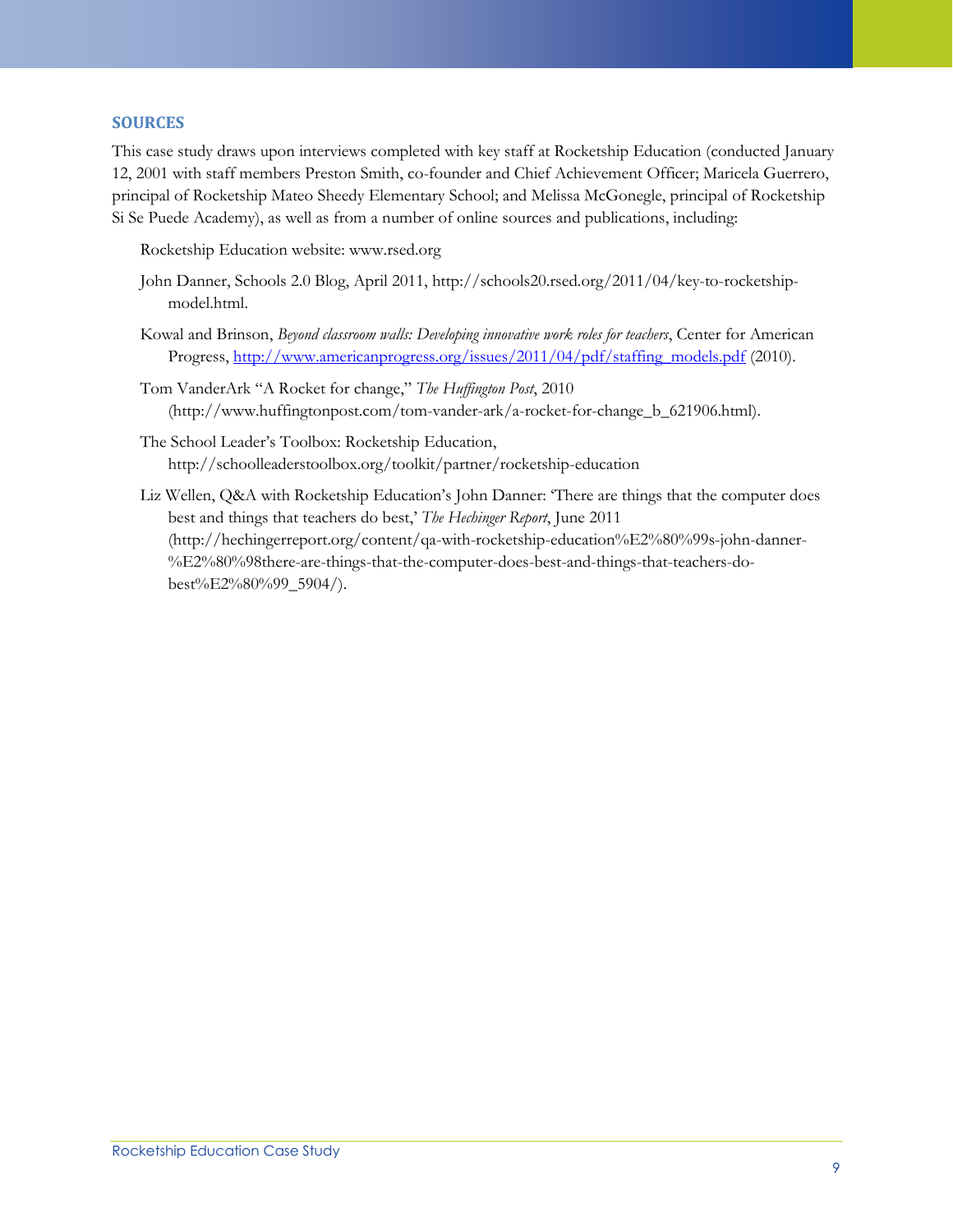#### **SOURCES**

This case study draws upon interviews completed with key staff at Rocketship Education (conducted January 12, 2001 with staff members Preston Smith, co-founder and Chief Achievement Officer; Maricela Guerrero, principal of Rocketship Mateo Sheedy Elementary School; and Melissa McGonegle, principal of Rocketship Si Se Puede Academy), as well as from a number of online sources and publications, including:

Rocketship Education website: www.rsed.org

- John Danner, Schools 2.0 Blog, April 2011, http://schools20.rsed.org/2011/04/key-to-rocketshipmodel.html.
- Kowal and Brinson, *Beyond classroom walls: Developing innovative work roles for teachers*, Center for American Progress, [http://www.americanprogress.org/issues/2011/04/pdf/staffing\\_models.pdf](http://www.americanprogress.org/issues/2011/04/pdf/staffing_models.pdf) (2010).
- Tom VanderArk "A Rocket for change," *The Huffington Post*, 2010 (http://www.huffingtonpost.com/tom-vander-ark/a-rocket-for-change\_b\_621906.html).
- The School Leader's Toolbox: Rocketship Education, http://schoolleaderstoolbox.org/toolkit/partner/rocketship-education
- Liz Wellen, Q&A with Rocketship Education's John Danner: 'There are things that the computer does best and things that teachers do best,' *The Hechinger Report*, June 2011 (http://hechingerreport.org/content/qa-with-rocketship-education%E2%80%99s-john-danner- %E2%80%98there-are-things-that-the-computer-does-best-and-things-that-teachers-dobest%E2%80%99\_5904/).